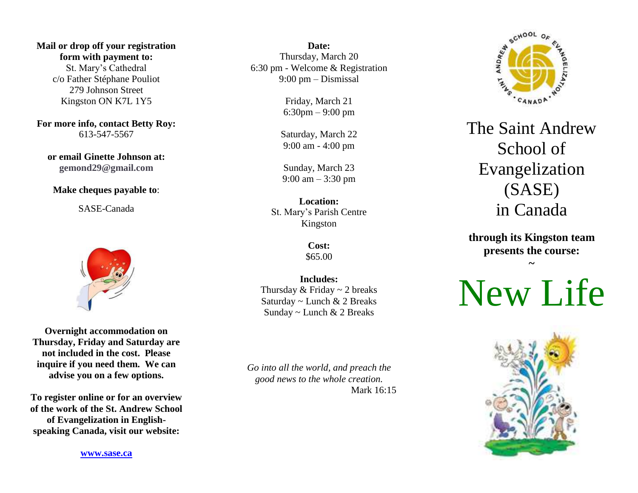**Mail or drop off your registration form with payment to:** St. Mary's Cathedral c/o Father Stéphane Pouliot 279 Johnson Street Kingston ON K7L 1Y5

**For more info, contact Betty Roy:** 613-547-5567

**or email Ginette Johnson at: gemond29@gmail.com**

## **Make cheques payable to**:

SASE-Canada



**Overnight accommodation on Thursday, Friday and Saturday are not included in the cost. Please inquire if you need them. We can advise you on a few options.**

**To register online or for an overview of the work of the St. Andrew School of Evangelization in Englishspeaking Canada, visit our website:**

**[www.sase.ca](http://www.sase.ca/)**

**Date:** Thursday, March 20 6:30 pm - Welcome & Registration 9:00 pm – Dismissal

> Friday, March 21 6:30pm – 9:00 pm

Saturday, March 22 9:00 am - 4:00 pm

Sunday, March 23 9:00 am – 3:30 pm

**Location:** St. Mary's Parish Centre Kingston

> **Cost:** \$65.00

**Includes:** Thursday  $&$  Friday  $\sim$  2 breaks Saturday ~ Lunch & 2 Breaks Sunday ~ Lunch & 2 Breaks

*Go into all the world, and preach the good news to the whole creation.* Mark 16:15



The Saint Andrew School of Evangelization (SASE) in Canada

**through its Kingston team presents the course:**

**~**

New Life